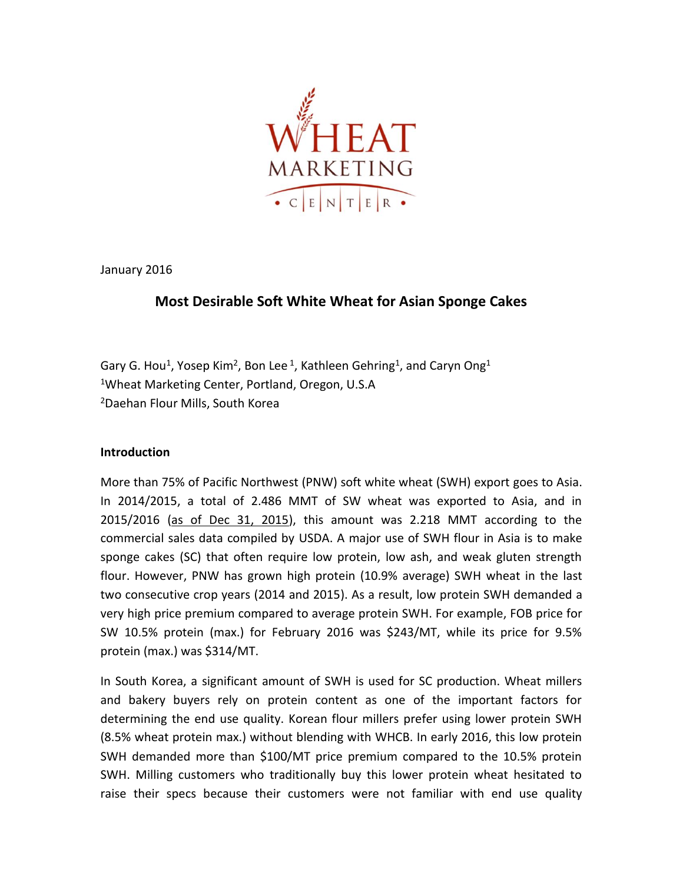

January 2016

# **Most Desirable Soft White Wheat for Asian Sponge Cakes**

Gary G. Hou<sup>1</sup>, Yosep Kim<sup>2</sup>, Bon Lee<sup>1</sup>, Kathleen Gehring<sup>1</sup>, and Caryn Ong<sup>1</sup> <sup>1</sup>Wheat Marketing Center, Portland, Oregon, U.S.A <sup>2</sup>Daehan Flour Mills, South Korea

## **Introduction**

More than 75% of Pacific Northwest (PNW) soft white wheat (SWH) export goes to Asia. In 2014/2015, a total of 2.486 MMT of SW wheat was exported to Asia, and in 2015/2016 (as of Dec 31, 2015), this amount was 2.218 MMT according to the commercial sales data compiled by USDA. A major use of SWH flour in Asia is to make sponge cakes (SC) that often require low protein, low ash, and weak gluten strength flour. However, PNW has grown high protein (10.9% average) SWH wheat in the last two consecutive crop years (2014 and 2015). As a result, low protein SWH demanded a very high price premium compared to average protein SWH. For example, FOB price for SW 10.5% protein (max.) for February 2016 was \$243/MT, while its price for 9.5% protein (max.) was \$314/MT.

In South Korea, a significant amount of SWH is used for SC production. Wheat millers and bakery buyers rely on protein content as one of the important factors for determining the end use quality. Korean flour millers prefer using lower protein SWH (8.5% wheat protein max.) without blending with WHCB. In early 2016, this low protein SWH demanded more than \$100/MT price premium compared to the 10.5% protein SWH. Milling customers who traditionally buy this lower protein wheat hesitated to raise their specs because their customers were not familiar with end use quality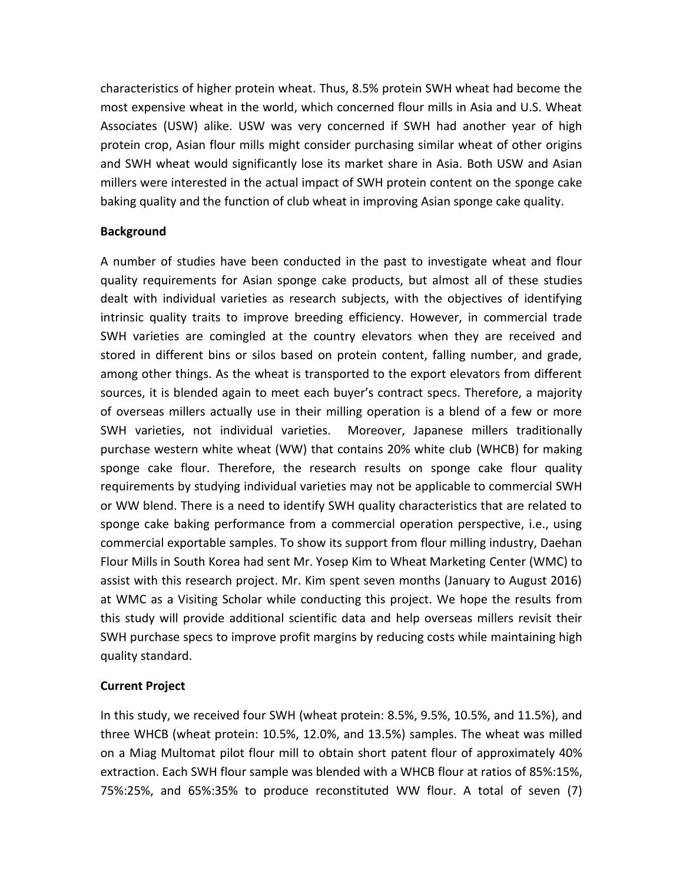characteristics of higher protein wheat. Thus, 8.5% protein SWH wheat had become the most expensive wheat in the world, which concerned flour mills in Asia and U.S. Wheat Associates (USW) alike. USW was very concerned if SWH had another year of high protein crop, Asian flour mills might consider purchasing similar wheat of other origins and SWH wheat would significantly lose its market share in Asia. Both USW and Asian millers were interested in the actual impact of SWH protein content on the sponge cake baking quality and the function of club wheat in improving Asian sponge cake quality.

#### **Background**

A number of studies have been conducted in the past to investigate wheat and flour quality requirements for Asian sponge cake products, but almost all of these studies dealt with individual varieties as research subjects, with the objectives of identifying intrinsic quality traits to improve breeding efficiency. However, in commercial trade SWH varieties are comingled at the country elevators when they are received and stored in different bins or silos based on protein content, falling number, and grade, among other things. As the wheat is transported to the export elevators from different sources, it is blended again to meet each buyer's contract specs. Therefore, a majority of overseas millers actually use in their milling operation is a blend of a few or more SWH varieties, not individual varieties. Moreover, Japanese millers traditionally purchase western white wheat (WW) that contains 20% white club (WHCB) for making sponge cake flour. Therefore, the research results on sponge cake flour quality requirements by studying individual varieties may not be applicable to commercial SWH or WW blend. There is a need to identify SWH quality characteristics that are related to sponge cake baking performance from a commercial operation perspective, i.e., using commercial exportable samples. To show its support from flour milling industry, Daehan Flour Mills in South Korea had sent Mr. Yosep Kim to Wheat Marketing Center (WMC) to assist with this research project. Mr. Kim spent seven months (January to August 2016) at WMC as a Visiting Scholar while conducting this project. We hope the results from this study will provide additional scientific data and help overseas millers revisit their SWH purchase specs to improve profit margins by reducing costs while maintaining high quality standard.

### **Current Project**

In this study, we received four SWH (wheat protein: 8.5%, 9.5%, 10.5%, and 11.5%), and three WHCB (wheat protein: 10.5%, 12.0%, and 13.5%) samples. The wheat was milled on a Miag Multomat pilot flour mill to obtain short patent flour of approximately 40% extraction. Each SWH flour sample was blended with a WHCB flour at ratios of 85%:15%, 75%:25%, and 65%:35% to produce reconstituted WW flour. A total of seven (7)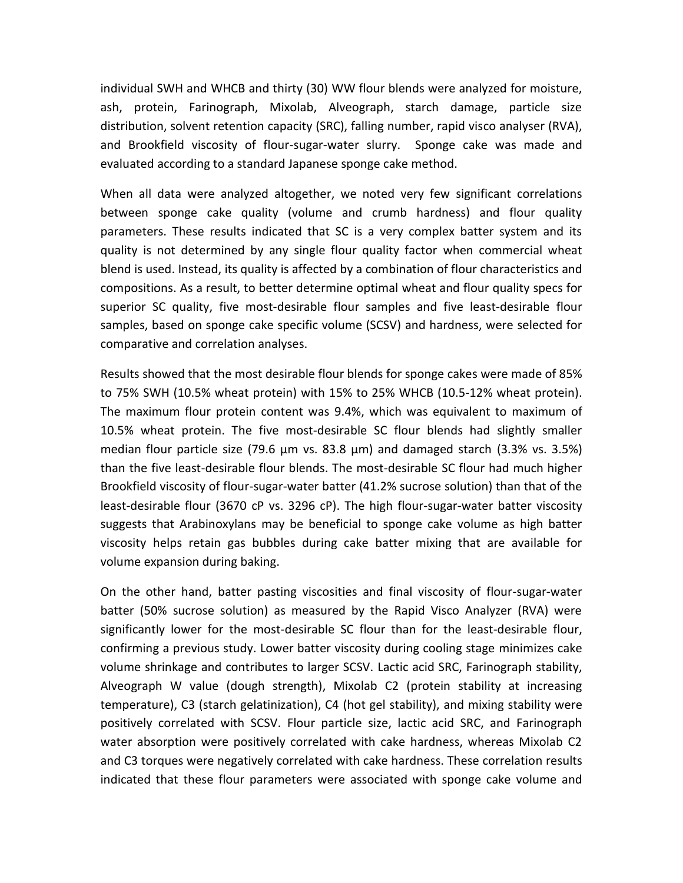individual SWH and WHCB and thirty (30) WW flour blends were analyzed for moisture, ash, protein, Farinograph, Mixolab, Alveograph, starch damage, particle size distribution, solvent retention capacity (SRC), falling number, rapid visco analyser (RVA), and Brookfield viscosity of flour-sugar-water slurry. Sponge cake was made and evaluated according to a standard Japanese sponge cake method.

When all data were analyzed altogether, we noted very few significant correlations between sponge cake quality (volume and crumb hardness) and flour quality parameters. These results indicated that SC is a very complex batter system and its quality is not determined by any single flour quality factor when commercial wheat blend is used. Instead, its quality is affected by a combination of flour characteristics and compositions. As a result, to better determine optimal wheat and flour quality specs for superior SC quality, five most-desirable flour samples and five least-desirable flour samples, based on sponge cake specific volume (SCSV) and hardness, were selected for comparative and correlation analyses.

Results showed that the most desirable flour blends for sponge cakes were made of 85% to 75% SWH (10.5% wheat protein) with 15% to 25% WHCB (10.5-12% wheat protein). The maximum flour protein content was 9.4%, which was equivalent to maximum of 10.5% wheat protein. The five most-desirable SC flour blends had slightly smaller median flour particle size (79.6 μm vs. 83.8 μm) and damaged starch (3.3% vs. 3.5%) than the five least-desirable flour blends. The most-desirable SC flour had much higher Brookfield viscosity of flour-sugar-water batter (41.2% sucrose solution) than that of the least-desirable flour (3670 cP vs. 3296 cP). The high flour-sugar-water batter viscosity suggests that Arabinoxylans may be beneficial to sponge cake volume as high batter viscosity helps retain gas bubbles during cake batter mixing that are available for volume expansion during baking.

On the other hand, batter pasting viscosities and final viscosity of flour-sugar-water batter (50% sucrose solution) as measured by the Rapid Visco Analyzer (RVA) were significantly lower for the most-desirable SC flour than for the least-desirable flour, confirming a previous study. Lower batter viscosity during cooling stage minimizes cake volume shrinkage and contributes to larger SCSV. Lactic acid SRC, Farinograph stability, Alveograph W value (dough strength), Mixolab C2 (protein stability at increasing temperature), C3 (starch gelatinization), C4 (hot gel stability), and mixing stability were positively correlated with SCSV. Flour particle size, lactic acid SRC, and Farinograph water absorption were positively correlated with cake hardness, whereas Mixolab C2 and C3 torques were negatively correlated with cake hardness. These correlation results indicated that these flour parameters were associated with sponge cake volume and